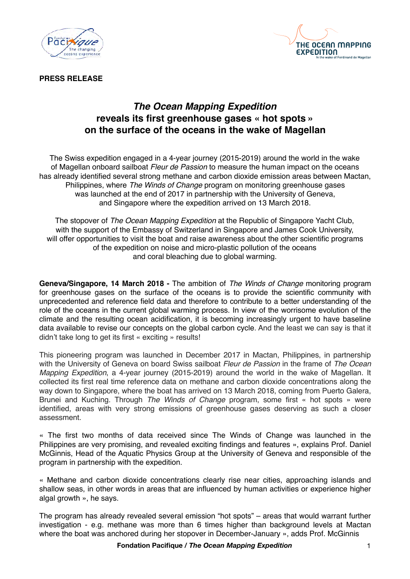



**PRESS RELEASE**

## *The Ocean Mapping Expedition* **reveals its first greenhouse gases « hot spots » on the surface of the oceans in the wake of Magellan**

The Swiss expedition engaged in a 4-year journey (2015-2019) around the world in the wake of Magellan onboard sailboat *Fleur de Passion* to measure the human impact on the oceans has already identified several strong methane and carbon dioxide emission areas between Mactan, Philippines, where *The Winds of Change* program on monitoring greenhouse gases was launched at the end of 2017 in partnership with the University of Geneva, and Singapore where the expedition arrived on 13 March 2018.

The stopover of *The Ocean Mapping Expedition* at the Republic of Singapore Yacht Club, with the support of the Embassy of Switzerland in Singapore and James Cook University, will offer opportunities to visit the boat and raise awareness about the other scientific programs of the expedition on noise and micro-plastic pollution of the oceans and coral bleaching due to global warming.

**Geneva/Singapore, 14 March 2018 -** The ambition of *The Winds of Change* monitoring program for greenhouse gases on the surface of the oceans is to provide the scientific community with unprecedented and reference field data and therefore to contribute to a better understanding of the role of the oceans in the current global warming process. In view of the worrisome evolution of the climate and the resulting ocean acidification, it is becoming increasingly urgent to have baseline data available to revise our concepts on the global carbon cycle. And the least we can say is that it didn't take long to get its first « exciting » results!

This pioneering program was launched in December 2017 in Mactan, Philippines, in partnership with the University of Geneva on board Swiss sailboat *Fleur de Passion* in the frame of *The Ocean Mapping Expedition*, a 4-year journey (2015-2019) around the world in the wake of Magellan. It collected its first real time reference data on methane and carbon dioxide concentrations along the way down to Singapore, where the boat has arrived on 13 March 2018, coming from Puerto Galera, Brunei and Kuching. Through *The Winds of Change* program, some first « hot spots » were identified, areas with very strong emissions of greenhouse gases deserving as such a closer assessment.

« The first two months of data received since The Winds of Change was launched in the Philippines are very promising, and revealed exciting findings and features », explains Prof. Daniel McGinnis, Head of the Aquatic Physics Group at the University of Geneva and responsible of the program in partnership with the expedition.

« Methane and carbon dioxide concentrations clearly rise near cities, approaching islands and shallow seas, in other words in areas that are influenced by human activities or experience higher algal growth », he says.

The program has already revealed several emission "hot spots" – areas that would warrant further investigation - e.g. methane was more than 6 times higher than background levels at Mactan where the boat was anchored during her stopover in December-January », adds Prof. McGinnis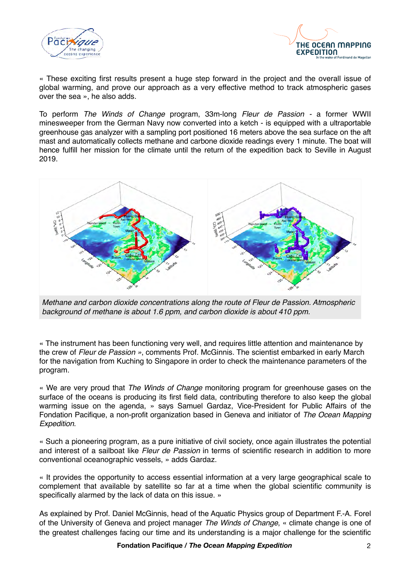



« These exciting first results present a huge step forward in the project and the overall issue of global warming, and prove our approach as a very effective method to track atmospheric gases over the sea », he also adds.

To perform *The Winds of Change* program, 33m-long *Fleur de Passion -* a former WWII minesweeper from the German Navy now converted into a ketch - is equipped with a ultraportable greenhouse gas analyzer with a sampling port positioned 16 meters above the sea surface on the aft mast and automatically collects methane and carbone dioxide readings every 1 minute. The boat will hence fulfill her mission for the climate until the return of the expedition back to Seville in August 2019.



*Methane and carbon dioxide concentrations along the route of Fleur de Passion. Atmospheric background of methane is about 1.6 ppm, and carbon dioxide is about 410 ppm.*

« The instrument has been functioning very well, and requires little attention and maintenance by the crew of *Fleur de Passion »*, comments Prof. McGinnis. The scientist embarked in early March for the navigation from Kuching to Singapore in order to check the maintenance parameters of the program.

« We are very proud that *The Winds of Change* monitoring program for greenhouse gases on the surface of the oceans is producing its first field data, contributing therefore to also keep the global warming issue on the agenda, » says Samuel Gardaz, Vice-President for Public Affairs of the Fondation Pacifique, a non-profit organization based in Geneva and initiator of *The Ocean Mapping Expedition*.

« Such a pioneering program, as a pure initiative of civil society, once again illustrates the potential and interest of a sailboat like *Fleur de Passion* in terms of scientific research in addition to more conventional oceanographic vessels, » adds Gardaz.

« It provides the opportunity to access essential information at a very large geographical scale to complement that available by satellite so far at a time when the global scientific community is specifically alarmed by the lack of data on this issue. »

As explained by Prof. Daniel McGinnis, head of the Aquatic Physics group of Department F.-A. Forel of the University of Geneva and project manager *The Winds of Change*, « climate change is one of the greatest challenges facing our time and its understanding is a major challenge for the scientific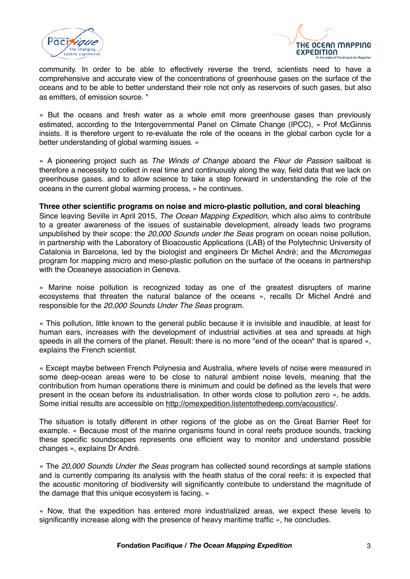



community. In order to be able to effectively reverse the trend, scientists need to have a comprehensive and accurate view of the concentrations of greenhouse gases on the surface of the oceans and to be able to better understand their role not only as reservoirs of such gases, but also as emitters, of emission source. "

« But the oceans and fresh water as a whole emit more greenhouse gases than previously estimated, according to the Intergovernmental Panel on Climate Change (IPCC), » Prof McGinnis insists. It is therefore urgent to re-evaluate the role of the oceans in the global carbon cycle for a better understanding of global warming issues. »

« A pioneering project such as *The Winds of Change* aboard the *Fleur de Passion* sailboat is therefore a necessity to collect in real time and continuously along the way, field data that we lack on greenhouse gases. and to allow science to take a step forward in understanding the role of the oceans in the current global warming process, » he continues.

## **Three other scientific programs on noise and micro-plastic pollution, and coral bleaching**

Since leaving Seville in April 2015, *The Ocean Mapping Expedition*, which also aims to contribute to a greater awareness of the issues of sustainable development, already leads two programs unpublished by their scope: the *20,000 Sounds under the Seas* program on ocean noise pollution, in partnership with the Laboratory of Bioacoustic Applications (LAB) of the Polytechnic University of Catalonia in Barcelona, led by the biologist and engineers Dr Michel André; and the *Micromegas* program for mapping micro and meso-plastic pollution on the surface of the oceans in partnership with the Oceaneye association in Geneva.

« Marine noise pollution is recognized today as one of the greatest disrupters of marine ecosystems that threaten the natural balance of the oceans », recalls Dr Michel André and responsible for the *20,000 Sounds Under The Seas* program.

« This pollution, little known to the general public because it is invisible and inaudible, at least for human ears, increases with the development of industrial activities at sea and spreads at high speeds in all the corners of the planet. Result: there is no more "end of the ocean" that is spared », explains the French scientist.

« Except maybe between French Polynesia and Australia, where levels of noise were measured in some deep-ocean areas were to be close to natural ambient noise levels, meaning that the contribution from human operations there is minimum and could be defined as the levels that were present in the ocean before its industrialisation. In other words close to pollution zero », he adds. Some initial results are accessible on <http://omexpedition.listentothedeep.com/acoustics/>.

The situation is totally different in other regions of the globe as on the Great Barrier Reef for example. « Because most of the marine organisms found in coral reefs produce sounds, tracking these specific soundscapes represents one efficient way to monitor and understand possible changes », explains Dr André.

« The *20,000 Sounds Under the Seas* program has collected sound recordings at sample stations and is currently comparing its analysis with the heath status of the coral reefs: it is expected that the acoustic monitoring of biodiversity will significantly contribute to understand the magnitude of the damage that this unique ecosystem is facing. »

« Now, that the expedition has entered more industrialized areas, we expect these levels to significantly increase along with the presence of heavy maritime traffic », he concludes.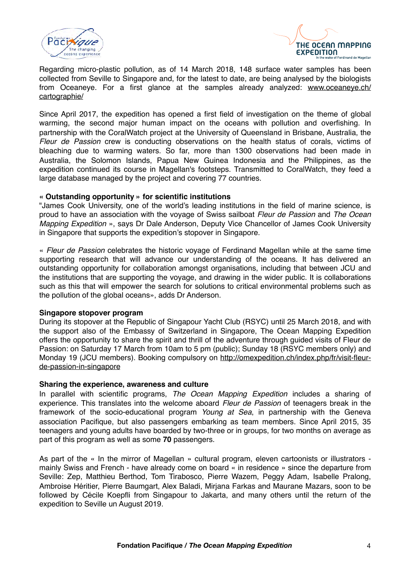



Regarding micro-plastic pollution, as of 14 March 2018, 148 surface water samples has been collected from Seville to Singapore and, for the latest to date, are being analysed by the biologists from Oceaneye. For a first glance at the samples already analyzed: [www.oceaneye.ch/](http://www.oceaneye.ch/cartographie/) [cartographie/](http://www.oceaneye.ch/cartographie/)

Since April 2017, the expedition has opened a first field of investigation on the theme of global warming, the second major human impact on the oceans with pollution and overfishing. In partnership with the CoralWatch project at the University of Queensland in Brisbane, Australia, the *Fleur de Passion* crew is conducting observations on the health status of corals, victims of bleaching due to warming waters. So far, more than 1300 observations had been made in Australia, the Solomon Islands, Papua New Guinea Indonesia and the Philippines, as the expedition continued its course in Magellan's footsteps. Transmitted to CoralWatch, they feed a large database managed by the project and covering 77 countries.

## **« Outstanding opportunity » for scientific institutions**

"James Cook University, one of the world's leading institutions in the field of marine science, is proud to have an association with the voyage of Swiss sailboat *Fleur de Passion* and *The Ocean Mapping Expedition* », says Dr Dale Anderson, Deputy Vice Chancellor of James Cook University in Singapore that supports the expedition's stopover in Singapore.

« *Fleur de Passion* celebrates the historic voyage of Ferdinand Magellan while at the same time supporting research that will advance our understanding of the oceans. It has delivered an outstanding opportunity for collaboration amongst organisations, including that between JCU and the institutions that are supporting the voyage, and drawing in the wider public. It is collaborations such as this that will empower the search for solutions to critical environmental problems such as the pollution of the global oceans», adds Dr Anderson.

### **Singapore stopover program**

During its stopover at the Republic of Singapour Yacht Club (RSYC) until 25 March 2018, and with the support also of the Embassy of Switzerland in Singapore, The Ocean Mapping Expedition offers the opportunity to share the spirit and thrill of the adventure through guided visits of Fleur de Passion: on Saturday 17 March from 10am to 5 pm (public); Sunday 18 (RSYC members only) and Monday 19 (JCU members). Booking compulsory on [http://omexpedition.ch/index.php/fr/visit-fleur](http://omexpedition.ch/index.php/fr/visit-fleur-de-passion-in-singapore)[de-passion-in-singapore](http://omexpedition.ch/index.php/fr/visit-fleur-de-passion-in-singapore)

#### **Sharing the experience, awareness and culture**

In parallel with scientific programs, *The Ocean Mapping Expedition* includes a sharing of experience. This translates into the welcome aboard *Fleur de Passion* of teenagers break in the framework of the socio-educational program *Young at Sea*, in partnership with the Geneva association Pacifique, but also passengers embarking as team members. Since April 2015, 35 teenagers and young adults have boarded by two-three or in groups, for two months on average as part of this program as well as some **70** passengers.

As part of the « In the mirror of Magellan » cultural program, eleven cartoonists or illustrators mainly Swiss and French - have already come on board « in residence » since the departure from Seville: Zep, Matthieu Berthod, Tom Tirabosco, Pierre Wazem, Peggy Adam, Isabelle Pralong, Ambroise Héritier, Pierre Baumgart, Alex Baladi, Mirjana Farkas and Maurane Mazars, soon to be followed by Cécile Koepfli from Singapour to Jakarta, and many others until the return of the expedition to Seville un August 2019.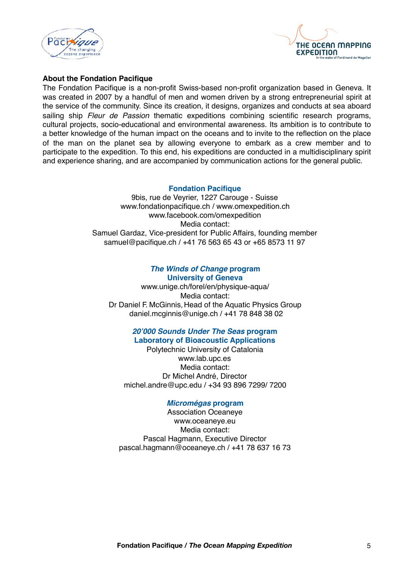



## **About the Fondation Pacifique**

The Fondation Pacifique is a non-profit Swiss-based non-profit organization based in Geneva. It was created in 2007 by a handful of men and women driven by a strong entrepreneurial spirit at the service of the community. Since its creation, it designs, organizes and conducts at sea aboard sailing ship *Fleur de Passion* thematic expeditions combining scientific research programs, cultural projects, socio-educational and environmental awareness. Its ambition is to contribute to a better knowledge of the human impact on the oceans and to invite to the reflection on the place of the man on the planet sea by allowing everyone to embark as a crew member and to participate to the expedition. To this end, his expeditions are conducted in a multidisciplinary spirit and experience sharing, and are accompanied by communication actions for the general public.

## **Fondation Pacifique**

9bis, rue de Veyrier, 1227 Carouge - Suisse [www.fondationpacifique.ch](http://www.pacifique.ch) / [www.omexpedition.ch](http://www.omexpedition.ch) www.facebook.com/omexpedition Media contact: Samuel Gardaz, Vice-president for Public Affairs, founding member [samuel@pacifique.ch](mailto:samuel@pacifique.ch) / +41 76 563 65 43 or +65 8573 11 97

#### *The Winds of Change* **program University of Geneva**

[www.unige.ch/forel/en/physique-aqua/](http://www.unige.ch/forel/en/physique-aqua/) Media contact: Dr Daniel F. McGinnis, Head of the Aquatic Physics Group [daniel.mcginnis@unige.ch](mailto:daniel.mcginnis@unige.ch) / +41 78 848 38 02

#### *20'000 Sounds Under The Seas* **program Laboratory of Bioacoustic Applications**

Polytechnic University of Catalonia [www.lab.upc.es](http://www.lab.upc.es/) Media contact: Dr Michel André, Director [michel.andre@upc.edu](mailto:michel.andre@upc.edu) / +34 93 896 7299/ 7200

#### *Micromégas* **program**

Association Oceaneye [www.oceaneye.eu](http://www.oceaneye.eu) Media contact: Pascal Hagmann, Executive Director [pascal.hagmann@oceaneye.ch](mailto:pascal.hagmann@oceaneye.ch) / +41 78 637 16 73